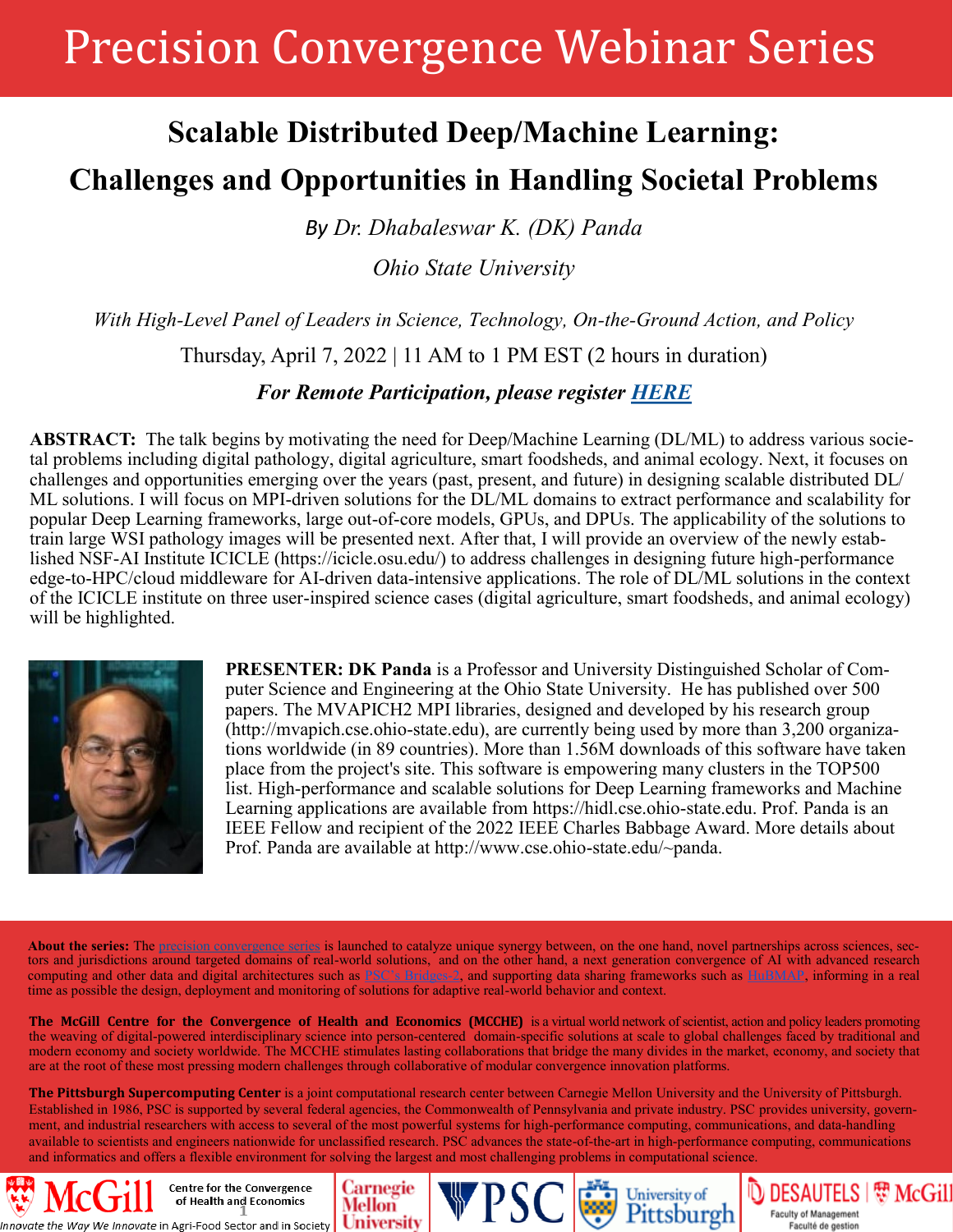## Precision Convergence Webinar Series

## **Scalable Distributed Deep/Machine Learning: Challenges and Opportunities in Handling Societal Problems**

*By Dr. Dhabaleswar K. (DK) Panda*

*Ohio State University*

*With High-Level Panel of Leaders in Science, Technology, On-the-Ground Action, and Policy* 

Thursday, April 7, 2022 | 11 AM to 1 PM EST (2 hours in duration)

*For Remote Participation, please register [HERE](https://mcgill.zoom.us/meeting/register/tZcrduigqzkvGtaUyDz_jFfQmqZnO2CTOtVZ)*

**ABSTRACT:** The talk begins by motivating the need for Deep/Machine Learning (DL/ML) to address various societal problems including digital pathology, digital agriculture, smart foodsheds, and animal ecology. Next, it focuses on challenges and opportunities emerging over the years (past, present, and future) in designing scalable distributed DL/ ML solutions. I will focus on MPI-driven solutions for the DL/ML domains to extract performance and scalability for popular Deep Learning frameworks, large out-of-core models, GPUs, and DPUs. The applicability of the solutions to train large WSI pathology images will be presented next. After that, I will provide an overview of the newly established NSF-AI Institute ICICLE (https://icicle.osu.edu/) to address challenges in designing future high-performance edge-to-HPC/cloud middleware for AI-driven data-intensive applications. The role of DL/ML solutions in the context of the ICICLE institute on three user-inspired science cases (digital agriculture, smart foodsheds, and animal ecology) will be highlighted.



**PRESENTER: DK Panda** is a Professor and University Distinguished Scholar of Computer Science and Engineering at the Ohio State University. He has published over 500 papers. The MVAPICH2 MPI libraries, designed and developed by his research group (http://mvapich.cse.ohio-state.edu), are currently being used by more than 3,200 organizations worldwide (in 89 countries). More than 1.56M downloads of this software have taken place from the project's site. This software is empowering many clusters in the TOP500 list. High-performance and scalable solutions for Deep Learning frameworks and Machine Learning applications are available from https://hidl.cse.ohio-state.edu. Prof. Panda is an IEEE Fellow and recipient of the 2022 IEEE Charles Babbage Award. More details about Prof. Panda are available at http://www.cse.ohio-state.edu/~panda.

About the series: The [precision convergence series](https://www.dropbox.com/s/n769fop1hpdcn26/210510_MCGILL-PSC-CM_PRECISION%20CONVERGENCE_WEBINAR%20SERIES_INV.pdf?dl=0) is launched to catalyze unique synergy between, on the one hand, novel partnerships across sciences, sectors and jurisdictions around targeted domains of real-world solutions, and on the other hand, a next generation convergence of AI with advanced research computing and other data and digital architectures such as PSC'[s Bridges](https://www.psc.edu/resources/bridges-2/)-2, and supporting data sharing frameworks such as [HuBMAP,](https://hubmapconsortium.org/) informing in a real time as possible the design, deployment and monitoring of solutions for adaptive real-world behavior and context.

**The McGill Centre for the Convergence of Health and Economics (MCCHE)** is a virtual world network of scientist, action and policy leaders promoting the weaving of digital-powered interdisciplinary science into person-centered domain-specific solutions at scale to global challenges faced by traditional and modern economy and society worldwide. The MCCHE stimulates lasting collaborations that bridge the many divides in the market, economy, and society that are at the root of these most pressing modern challenges through collaborative of modular convergence innovation platforms.

**The Pittsburgh Supercomputing Center** is a joint computational research center between Carnegie Mellon University and the University of Pittsburgh. Established in 1986, PSC is supported by several federal agencies, the Commonwealth of Pennsylvania and private industry. PSC provides university, government, and industrial researchers with access to several of the most powerful systems for high-performance computing, communications, and data-handling available to scientists and engineers nationwide for unclassified research. PSC advances the state-of-the-art in high-performance computing, communications and informatics and offers a flexible environment for solving the largest and most challenging problems in computational science.

Carnegie

**University** 

Mellon

Centre for the Convergence of Health and Economics the Way We Innovate in Agri-Food Sector and in Society University of Pittsburgh

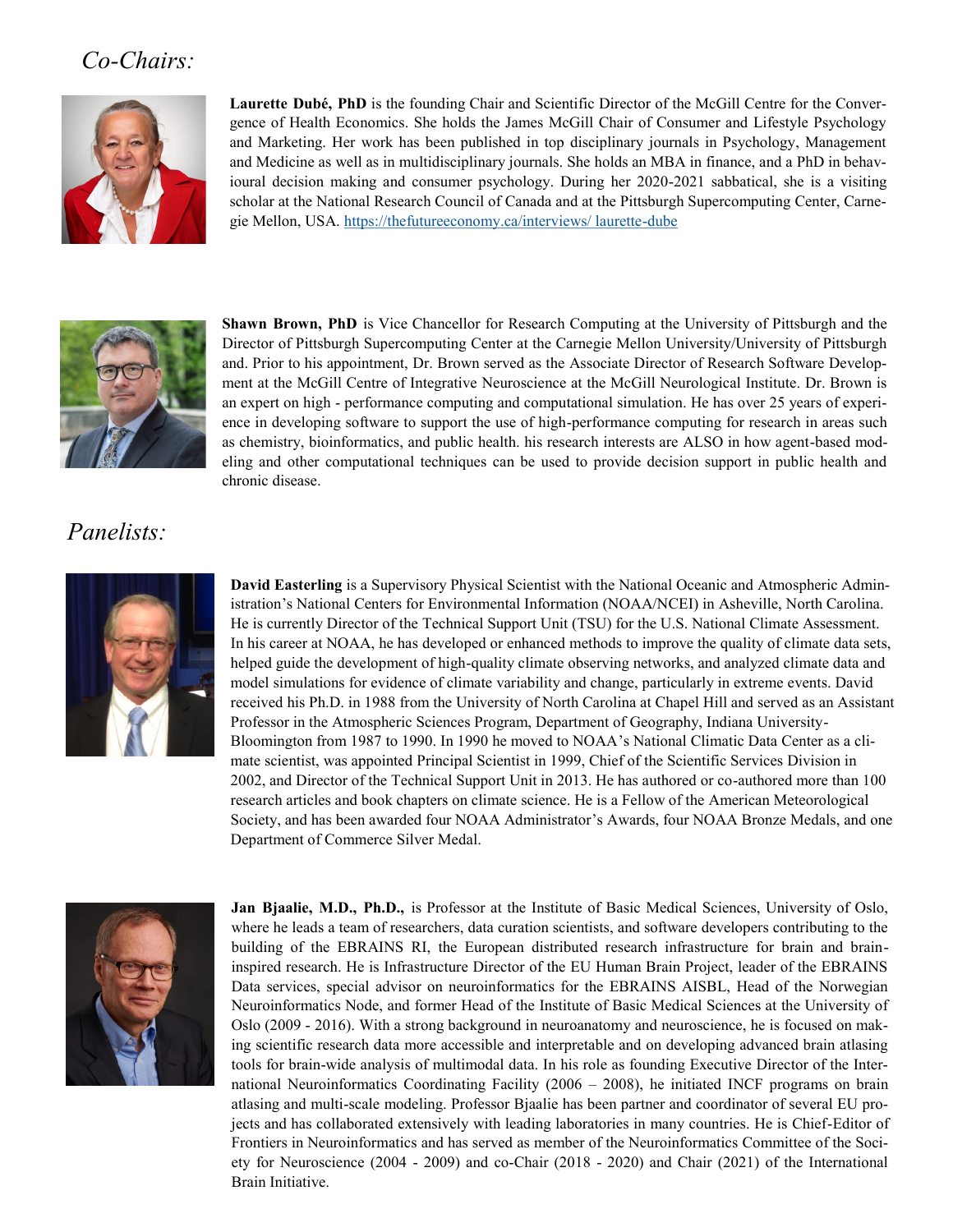## *Co-Chairs:*



**Laurette Dubé, PhD** is the founding Chair and Scientific Director of the McGill Centre for the Convergence of Health Economics. She holds the James McGill Chair of Consumer and Lifestyle Psychology and Marketing. Her work has been published in top disciplinary journals in Psychology, Management and Medicine as well as in multidisciplinary journals. She holds an MBA in finance, and a PhD in behavioural decision making and consumer psychology. During her 2020-2021 sabbatical, she is a visiting scholar at the National Research Council of Canada and at the Pittsburgh Supercomputing Center, Carnegie Mellon, USA. [https://thefutureeconomy.ca/interviews/ laurette](https://thefutureeconomy.ca/interviews/%20laurette-dube)-dube



**Shawn Brown, PhD** is Vice Chancellor for Research Computing at the University of Pittsburgh and the Director of Pittsburgh Supercomputing Center at the Carnegie Mellon University/University of Pittsburgh and. Prior to his appointment, Dr. Brown served as the Associate Director of Research Software Development at the McGill Centre of Integrative Neuroscience at the McGill Neurological Institute. Dr. Brown is an expert on high - performance computing and computational simulation. He has over 25 years of experience in developing software to support the use of high-performance computing for research in areas such as chemistry, bioinformatics, and public health. his research interests are ALSO in how agent-based modeling and other computational techniques can be used to provide decision support in public health and chronic disease.

## *Panelists:*



**David Easterling** is a Supervisory Physical Scientist with the National Oceanic and Atmospheric Administration's National Centers for Environmental Information (NOAA/NCEI) in Asheville, North Carolina. He is currently Director of the Technical Support Unit (TSU) for the U.S. National Climate Assessment. In his career at NOAA, he has developed or enhanced methods to improve the quality of climate data sets, helped guide the development of high-quality climate observing networks, and analyzed climate data and model simulations for evidence of climate variability and change, particularly in extreme events. David received his Ph.D. in 1988 from the University of North Carolina at Chapel Hill and served as an Assistant Professor in the Atmospheric Sciences Program, Department of Geography, Indiana University-Bloomington from 1987 to 1990. In 1990 he moved to NOAA's National Climatic Data Center as a climate scientist, was appointed Principal Scientist in 1999, Chief of the Scientific Services Division in 2002, and Director of the Technical Support Unit in 2013. He has authored or co-authored more than 100 research articles and book chapters on climate science. He is a Fellow of the American Meteorological Society, and has been awarded four NOAA Administrator's Awards, four NOAA Bronze Medals, and one Department of Commerce Silver Medal.



**Jan Bjaalie, M.D., Ph.D.,** is Professor at the Institute of Basic Medical Sciences, University of Oslo, where he leads a team of researchers, data curation scientists, and software developers contributing to the building of the EBRAINS RI, the European distributed research infrastructure for brain and braininspired research. He is Infrastructure Director of the EU Human Brain Project, leader of the EBRAINS Data services, special advisor on neuroinformatics for the EBRAINS AISBL, Head of the Norwegian Neuroinformatics Node, and former Head of the Institute of Basic Medical Sciences at the University of Oslo (2009 - 2016). With a strong background in neuroanatomy and neuroscience, he is focused on making scientific research data more accessible and interpretable and on developing advanced brain atlasing tools for brain-wide analysis of multimodal data. In his role as founding Executive Director of the International Neuroinformatics Coordinating Facility (2006 – 2008), he initiated INCF programs on brain atlasing and multi-scale modeling. Professor Bjaalie has been partner and coordinator of several EU projects and has collaborated extensively with leading laboratories in many countries. He is Chief-Editor of Frontiers in Neuroinformatics and has served as member of the Neuroinformatics Committee of the Society for Neuroscience (2004 - 2009) and co-Chair (2018 - 2020) and Chair (2021) of the International Brain Initiative.